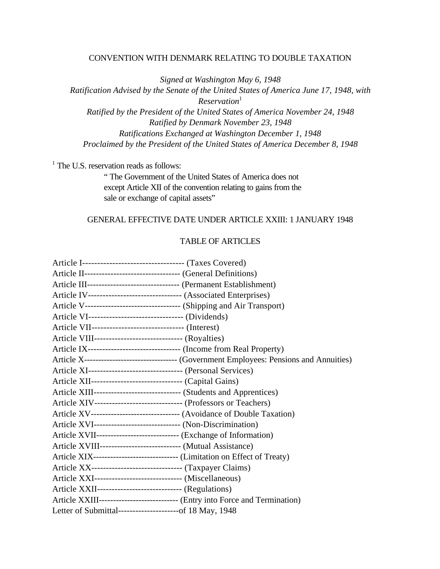#### CONVENTION WITH DENMARK RELATING TO DOUBLE TAXATION

*Signed at Washington May 6, 1948*

*Ratification Advised by the Senate of the United States of America June 17, 1948, with Reservation*<sup>1</sup> *Ratified by the President of the United States of America November 24, 1948 Ratified by Denmark November 23, 1948 Ratifications Exchanged at Washington December 1, 1948 Proclaimed by the President of the United States of America December 8, 1948*

<sup>1</sup> The U.S. reservation reads as follows:

" The Government of the United States of America does not except Article XII of the convention relating to gains from the sale or exchange of capital assets"

## GENERAL EFFECTIVE DATE UNDER ARTICLE XXIII: 1 JANUARY 1948

# TABLE OF ARTICLES

|                                                            | Article IV--------------------------------- (Associated Enterprises)            |
|------------------------------------------------------------|---------------------------------------------------------------------------------|
|                                                            |                                                                                 |
| Article VI---------------------------------- (Dividends)   |                                                                                 |
|                                                            |                                                                                 |
| Article VIII--------------------------------- (Royalties)  |                                                                                 |
|                                                            |                                                                                 |
|                                                            |                                                                                 |
|                                                            | Article XI--------------------------------- (Personal Services)                 |
|                                                            | Article XII--------------------------------- (Capital Gains)                    |
|                                                            | Article XIII------------------------------- (Students and Apprentices)          |
|                                                            | Article XIV-------------------------------- (Professors or Teachers)            |
|                                                            | Article XV---------------------------------- (Avoidance of Double Taxation)     |
|                                                            | Article XVI--------------------------------- (Non-Discrimination)               |
|                                                            | Article XVII------------------------------- (Exchange of Information)           |
|                                                            | Article XVIII----------------------------- (Mutual Assistance)                  |
|                                                            |                                                                                 |
|                                                            |                                                                                 |
|                                                            | Article XXI------------------------------- (Miscellaneous)                      |
| Article XXII-------------------------------- (Regulations) |                                                                                 |
|                                                            | Article XXIII------------------------------- (Entry into Force and Termination) |
|                                                            | Letter of Submittal-----------------------of 18 May, 1948                       |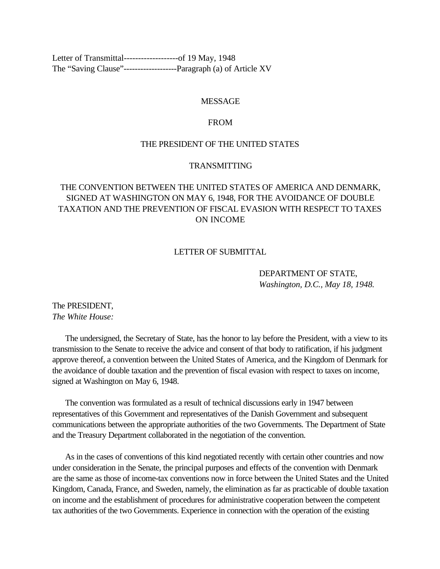<span id="page-1-0"></span>[Letter of Transmittal-------------------of 19 May, 1948](#page-5-0) [The "Saving Clause"-------------------Paragraph \(a\) of Article XV](#page-11-0)

#### MESSAGE

#### FROM

## THE PRESIDENT OF THE UNITED STATES

## TRANSMITTING

# THE CONVENTION BETWEEN THE UNITED STATES OF AMERICA AND DENMARK, SIGNED AT WASHINGTON ON MAY 6, 1948, FOR THE AVOIDANCE OF DOUBLE TAXATION AND THE PREVENTION OF FISCAL EVASION WITH RESPECT TO TAXES ON INCOME

#### LETTER OF SUBMITTAL

DEPARTMENT OF STATE, *Washington, D.C., May 18, 1948.*

The PRESIDENT, *The White House:*

 The undersigned, the Secretary of State, has the honor to lay before the President, with a view to its transmission to the Senate to receive the advice and consent of that body to ratification, if his judgment approve thereof, a convention between the United States of America, and the Kingdom of Denmark for the avoidance of double taxation and the prevention of fiscal evasion with respect to taxes on income, signed at Washington on May 6, 1948.

 The convention was formulated as a result of technical discussions early in 1947 between representatives of this Government and representatives of the Danish Government and subsequent communications between the appropriate authorities of the two Governments. The Department of State and the Treasury Department collaborated in the negotiation of the convention.

 As in the cases of conventions of this kind negotiated recently with certain other countries and now under consideration in the Senate, the principal purposes and effects of the convention with Denmark are the same as those of income-tax conventions now in force between the United States and the United Kingdom, Canada, France, and Sweden, namely, the elimination as far as practicable of double taxation on income and the establishment of procedures for administrative cooperation between the competent tax authorities of the two Governments. Experience in connection with the operation of the existing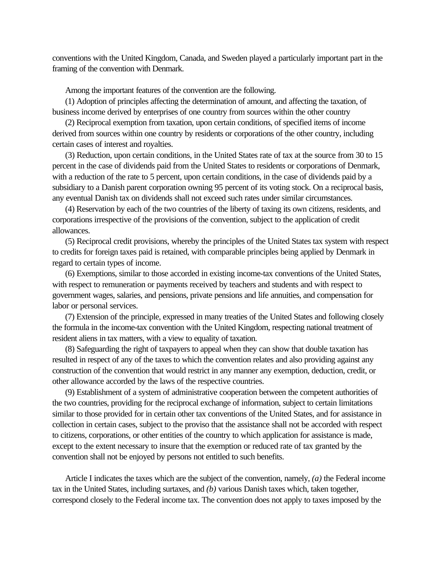conventions with the United Kingdom, Canada, and Sweden played a particularly important part in the framing of the convention with Denmark.

Among the important features of the convention are the following.

 (1) Adoption of principles affecting the determination of amount, and affecting the taxation, of business income derived by enterprises of one country from sources within the other country

 (2) Reciprocal exemption from taxation, upon certain conditions, of specified items of income derived from sources within one country by residents or corporations of the other country, including certain cases of interest and royalties.

 (3) Reduction, upon certain conditions, in the United States rate of tax at the source from 30 to 15 percent in the case of dividends paid from the United States to residents or corporations of Denmark, with a reduction of the rate to 5 percent, upon certain conditions, in the case of dividends paid by a subsidiary to a Danish parent corporation owning 95 percent of its voting stock. On a reciprocal basis, any eventual Danish tax on dividends shall not exceed such rates under similar circumstances.

 (4) Reservation by each of the two countries of the liberty of taxing its own citizens, residents, and corporations irrespective of the provisions of the convention, subject to the application of credit allowances.

 (5) Reciprocal credit provisions, whereby the principles of the United States tax system with respect to credits for foreign taxes paid is retained, with comparable principles being applied by Denmark in regard to certain types of income.

 (6) Exemptions, similar to those accorded in existing income-tax conventions of the United States, with respect to remuneration or payments received by teachers and students and with respect to government wages, salaries, and pensions, private pensions and life annuities, and compensation for labor or personal services.

 (7) Extension of the principle, expressed in many treaties of the United States and following closely the formula in the income-tax convention with the United Kingdom, respecting national treatment of resident aliens in tax matters, with a view to equality of taxation.

 (8) Safeguarding the right of taxpayers to appeal when they can show that double taxation has resulted in respect of any of the taxes to which the convention relates and also providing against any construction of the convention that would restrict in any manner any exemption, deduction, credit, or other allowance accorded by the laws of the respective countries.

 (9) Establishment of a system of administrative cooperation between the competent authorities of the two countries, providing for the reciprocal exchange of information, subject to certain limitations similar to those provided for in certain other tax conventions of the United States, and for assistance in collection in certain cases, subject to the proviso that the assistance shall not be accorded with respect to citizens, corporations, or other entities of the country to which application for assistance is made, except to the extent necessary to insure that the exemption or reduced rate of tax granted by the convention shall not be enjoyed by persons not entitled to such benefits.

 Article I indicates the taxes which are the subject of the convention, namely, *(a)* the Federal income tax in the United States, including surtaxes, and *(b)* various Danish taxes which, taken together, correspond closely to the Federal income tax. The convention does not apply to taxes imposed by the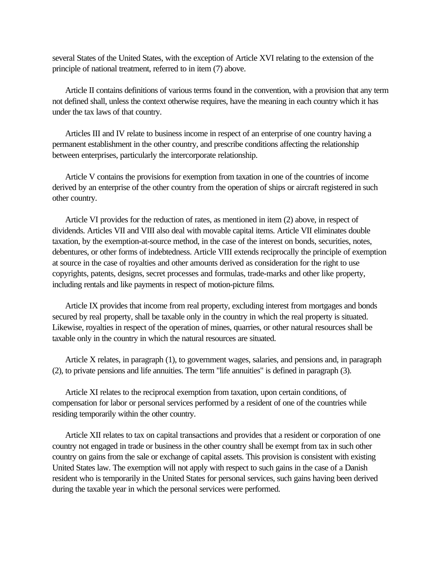several States of the United States, with the exception of Article XVI relating to the extension of the principle of national treatment, referred to in item (7) above.

 Article II contains definitions of various terms found in the convention, with a provision that any term not defined shall, unless the context otherwise requires, have the meaning in each country which it has under the tax laws of that country.

 Articles III and IV relate to business income in respect of an enterprise of one country having a permanent establishment in the other country, and prescribe conditions affecting the relationship between enterprises, particularly the intercorporate relationship.

 Article V contains the provisions for exemption from taxation in one of the countries of income derived by an enterprise of the other country from the operation of ships or aircraft registered in such other country.

 Article VI provides for the reduction of rates, as mentioned in item (2) above, in respect of dividends. Articles VII and VIII also deal with movable capital items. Article VII eliminates double taxation, by the exemption-at-source method, in the case of the interest on bonds, securities, notes, debentures, or other forms of indebtedness. Article VIII extends reciprocally the principle of exemption at source in the case of royalties and other amounts derived as consideration for the right to use copyrights, patents, designs, secret processes and formulas, trade-marks and other like property, including rentals and like payments in respect of motion-picture films.

 Article IX provides that income from real property, excluding interest from mortgages and bonds secured by real property, shall be taxable only in the country in which the real property is situated. Likewise, royalties in respect of the operation of mines, quarries, or other natural resources shall be taxable only in the country in which the natural resources are situated.

 Article X relates, in paragraph (1), to government wages, salaries, and pensions and, in paragraph (2), to private pensions and life annuities. The term "life annuities" is defined in paragraph (3).

 Article XI relates to the reciprocal exemption from taxation, upon certain conditions, of compensation for labor or personal services performed by a resident of one of the countries while residing temporarily within the other country.

 Article XII relates to tax on capital transactions and provides that a resident or corporation of one country not engaged in trade or business in the other country shall be exempt from tax in such other country on gains from the sale or exchange of capital assets. This provision is consistent with existing United States law. The exemption will not apply with respect to such gains in the case of a Danish resident who is temporarily in the United States for personal services, such gains having been derived during the taxable year in which the personal services were performed.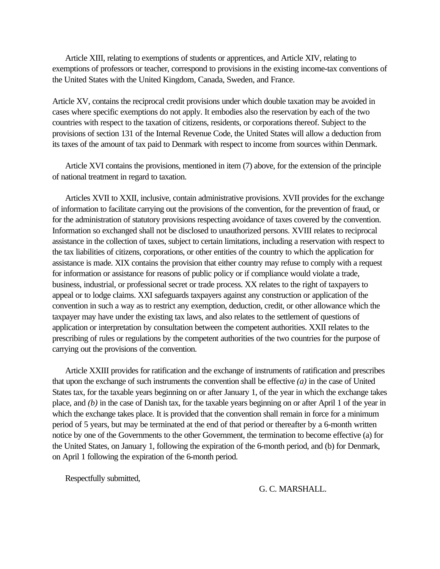Article XIII, relating to exemptions of students or apprentices, and Article XIV, relating to exemptions of professors or teacher, correspond to provisions in the existing income-tax conventions of the United States with the United Kingdom, Canada, Sweden, and France.

Article XV, contains the reciprocal credit provisions under which double taxation may be avoided in cases where specific exemptions do not apply. It embodies also the reservation by each of the two countries with respect to the taxation of citizens, residents, or corporations thereof. Subject to the provisions of section 131 of the Internal Revenue Code, the United States will allow a deduction from its taxes of the amount of tax paid to Denmark with respect to income from sources within Denmark.

 Article XVI contains the provisions, mentioned in item (7) above, for the extension of the principle of national treatment in regard to taxation.

 Articles XVII to XXII, inclusive, contain administrative provisions. XVII provides for the exchange of information to facilitate carrying out the provisions of the convention, for the prevention of fraud, or for the administration of statutory provisions respecting avoidance of taxes covered by the convention. Information so exchanged shall not be disclosed to unauthorized persons. XVIII relates to reciprocal assistance in the collection of taxes, subject to certain limitations, including a reservation with respect to the tax liabilities of citizens, corporations, or other entities of the country to which the application for assistance is made. XIX contains the provision that either country may refuse to comply with a request for information or assistance for reasons of public policy or if compliance would violate a trade, business, industrial, or professional secret or trade process. XX relates to the right of taxpayers to appeal or to lodge claims. XXI safeguards taxpayers against any construction or application of the convention in such a way as to restrict any exemption, deduction, credit, or other allowance which the taxpayer may have under the existing tax laws, and also relates to the settlement of questions of application or interpretation by consultation between the competent authorities. XXII relates to the prescribing of rules or regulations by the competent authorities of the two countries for the purpose of carrying out the provisions of the convention.

 Article XXIII provides for ratification and the exchange of instruments of ratification and prescribes that upon the exchange of such instruments the convention shall be effective *(a)* in the case of United States tax, for the taxable years beginning on or after January 1, of the year in which the exchange takes place, and *(b)* in the case of Danish tax, for the taxable years beginning on or after April 1 of the year in which the exchange takes place. It is provided that the convention shall remain in force for a minimum period of 5 years, but may be terminated at the end of that period or thereafter by a 6-month written notice by one of the Governments to the other Government, the termination to become effective (a) for the United States, on January 1, following the expiration of the 6-month period, and (b) for Denmark, on April 1 following the expiration of the 6-month period.

Respectfully submitted,

G. C. MARSHALL.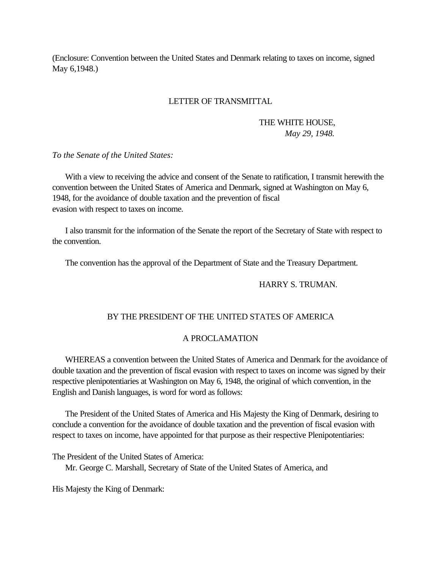<span id="page-5-0"></span>(Enclosure: Convention between the United States and Denmark relating to taxes on income, signed May 6,1948.)

#### LETTER OF TRANSMITTAL

# THE WHITE HOUSE, *May 29, 1948.*

*To the Senate of the United States:*

 With a view to receiving the advice and consent of the Senate to ratification, I transmit herewith the convention between the United States of America and Denmark, signed at Washington on May 6, 1948, for the avoidance of double taxation and the prevention of fiscal evasion with respect to taxes on income.

 I also transmit for the information of the Senate the report of the Secretary of State with respect to the convention.

The convention has the approval of the Department of State and the Treasury Department.

## HARRY S. TRUMAN.

## BY THE PRESIDENT OF THE UNITED STATES OF AMERICA

#### A PROCLAMATION

 WHEREAS a convention between the United States of America and Denmark for the avoidance of double taxation and the prevention of fiscal evasion with respect to taxes on income was signed by their respective plenipotentiaries at Washington on May 6, 1948, the original of which convention, in the English and Danish languages, is word for word as follows:

 The President of the United States of America and His Majesty the King of Denmark, desiring to conclude a convention for the avoidance of double taxation and the prevention of fiscal evasion with respect to taxes on income, have appointed for that purpose as their respective Plenipotentiaries:

The President of the United States of America:

Mr. George C. Marshall, Secretary of State of the United States of America, and

His Majesty the King of Denmark: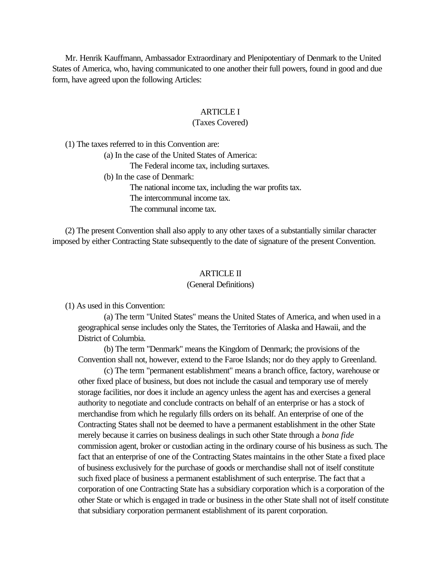<span id="page-6-0"></span> Mr. Henrik Kauffmann, Ambassador Extraordinary and Plenipotentiary of Denmark to the United States of America, who, having communicated to one another their full powers, found in good and due form, have agreed upon the following Articles:

## ARTICLE I

## (Taxes Covered)

(1) The taxes referred to in this Convention are:

(a) In the case of the United States of America:

The Federal income tax, including surtaxes.

(b) In the case of Denmark:

The national income tax, including the war profits tax. The intercommunal income tax. The communal income tax.

 (2) The present Convention shall also apply to any other taxes of a substantially similar character imposed by either Contracting State subsequently to the date of signature of the present Convention.

## ARTICLE II

#### (General Definitions)

(1) As used in this Convention:

(a) The term "United States" means the United States of America, and when used in a geographical sense includes only the States, the Territories of Alaska and Hawaii, and the District of Columbia.

(b) The term "Denmark" means the Kingdom of Denmark; the provisions of the Convention shall not, however, extend to the Faroe Islands; nor do they apply to Greenland.

(c) The term "permanent establishment" means a branch office, factory, warehouse or other fixed place of business, but does not include the casual and temporary use of merely storage facilities, nor does it include an agency unless the agent has and exercises a general authority to negotiate and conclude contracts on behalf of an enterprise or has a stock of merchandise from which he regularly fills orders on its behalf. An enterprise of one of the Contracting States shall not be deemed to have a permanent establishment in the other State merely because it carries on business dealings in such other State through a *bona fide* commission agent, broker or custodian acting in the ordinary course of his business as such. The fact that an enterprise of one of the Contracting States maintains in the other State a fixed place of business exclusively for the purchase of goods or merchandise shall not of itself constitute such fixed place of business a permanent establishment of such enterprise. The fact that a corporation of one Contracting State has a subsidiary corporation which is a corporation of the other State or which is engaged in trade or business in the other State shall not of itself constitute that subsidiary corporation permanent establishment of its parent corporation.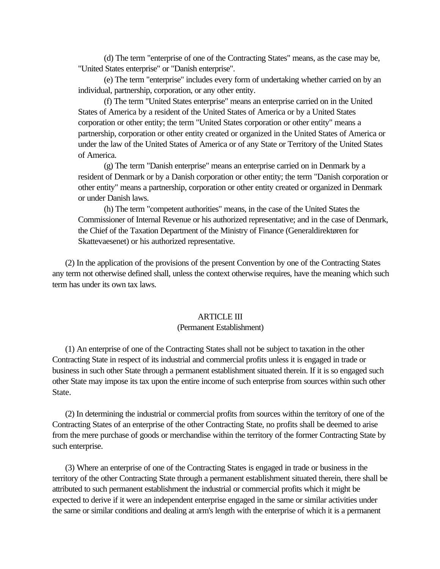<span id="page-7-0"></span>(d) The term "enterprise of one of the Contracting States" means, as the case may be, "United States enterprise" or "Danish enterprise".

(e) The term "enterprise" includes every form of undertaking whether carried on by an individual, partnership, corporation, or any other entity.

(f) The term "United States enterprise" means an enterprise carried on in the United States of America by a resident of the United States of America or by a United States corporation or other entity; the term "United States corporation or other entity" means a partnership, corporation or other entity created or organized in the United States of America or under the law of the United States of America or of any State or Territory of the United States of America.

(g) The term "Danish enterprise" means an enterprise carried on in Denmark by a resident of Denmark or by a Danish corporation or other entity; the term "Danish corporation or other entity" means a partnership, corporation or other entity created or organized in Denmark or under Danish laws.

(h) The term "competent authorities" means, in the case of the United States the Commissioner of Internal Revenue or his authorized representative; and in the case of Denmark, the Chief of the Taxation Department of the Ministry of Finance (Generaldirektøren for Skattevaesenet) or his authorized representative.

 (2) In the application of the provisions of the present Convention by one of the Contracting States any term not otherwise defined shall, unless the context otherwise requires, have the meaning which such term has under its own tax laws.

## ARTICLE III

#### (Permanent Establishment)

 (1) An enterprise of one of the Contracting States shall not be subject to taxation in the other Contracting State in respect of its industrial and commercial profits unless it is engaged in trade or business in such other State through a permanent establishment situated therein. If it is so engaged such other State may impose its tax upon the entire income of such enterprise from sources within such other State.

 (2) In determining the industrial or commercial profits from sources within the territory of one of the Contracting States of an enterprise of the other Contracting State, no profits shall be deemed to arise from the mere purchase of goods or merchandise within the territory of the former Contracting State by such enterprise.

 (3) Where an enterprise of one of the Contracting States is engaged in trade or business in the territory of the other Contracting State through a permanent establishment situated therein, there shall be attributed to such permanent establishment the industrial or commercial profits which it might be expected to derive if it were an independent enterprise engaged in the same or similar activities under the same or similar conditions and dealing at arm's length with the enterprise of which it is a permanent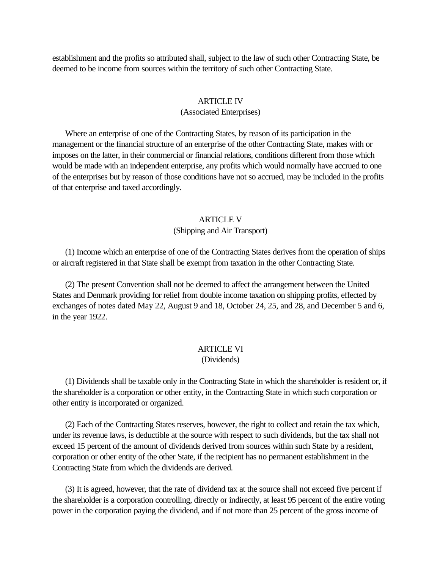<span id="page-8-0"></span>establishment and the profits so attributed shall, subject to the law of such other Contracting State, be deemed to be income from sources within the territory of such other Contracting State.

#### ARTICLE IV

#### (Associated Enterprises)

 Where an enterprise of one of the Contracting States, by reason of its participation in the management or the financial structure of an enterprise of the other Contracting State, makes with or imposes on the latter, in their commercial or financial relations, conditions different from those which would be made with an independent enterprise, any profits which would normally have accrued to one of the enterprises but by reason of those conditions have not so accrued, may be included in the profits of that enterprise and taxed accordingly.

## ARTICLE V

#### (Shipping and Air Transport)

 (1) Income which an enterprise of one of the Contracting States derives from the operation of ships or aircraft registered in that State shall be exempt from taxation in the other Contracting State.

 (2) The present Convention shall not be deemed to affect the arrangement between the United States and Denmark providing for relief from double income taxation on shipping profits, effected by exchanges of notes dated May 22, August 9 and 18, October 24, 25, and 28, and December 5 and 6, in the year 1922.

# **ARTICLE VI**

# (Dividends)

 (1) Dividends shall be taxable only in the Contracting State in which the shareholder is resident or, if the shareholder is a corporation or other entity, in the Contracting State in which such corporation or other entity is incorporated or organized.

 (2) Each of the Contracting States reserves, however, the right to collect and retain the tax which, under its revenue laws, is deductible at the source with respect to such dividends, but the tax shall not exceed 15 percent of the amount of dividends derived from sources within such State by a resident, corporation or other entity of the other State, if the recipient has no permanent establishment in the Contracting State from which the dividends are derived.

 (3) It is agreed, however, that the rate of dividend tax at the source shall not exceed five percent if the shareholder is a corporation controlling, directly or indirectly, at least 95 percent of the entire voting power in the corporation paying the dividend, and if not more than 25 percent of the gross income of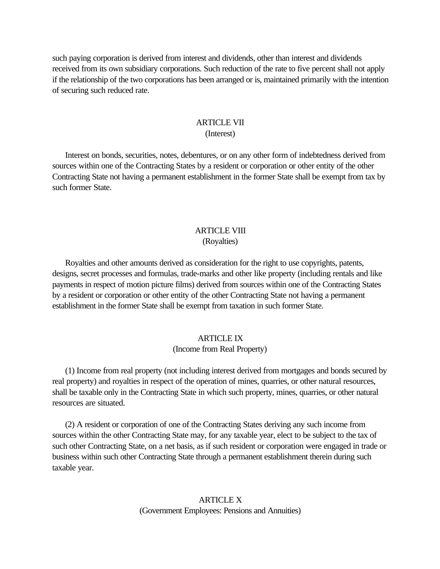<span id="page-9-0"></span>such paying corporation is derived from interest and dividends, other than interest and dividends received from its own subsidiary corporations. Such reduction of the rate to five percent shall not apply if the relationship of the two corporations has been arranged or is, maintained primarily with the intention of securing such reduced rate.

## ARTICLE VII (Interest)

 Interest on bonds, securities, notes, debentures, or on any other form of indebtedness derived from sources within one of the Contracting States by a resident or corporation or other entity of the other Contracting State not having a permanent establishment in the former State shall be exempt from tax by such former State.

## **ARTICLE VIII** (Royalties)

 Royalties and other amounts derived as consideration for the right to use copyrights, patents, designs, secret processes and formulas, trade-marks and other like property (including rentals and like payments in respect of motion picture films) derived from sources within one of the Contracting States by a resident or corporation or other entity of the other Contracting State not having a permanent establishment in the former State shall be exempt from taxation in such former State.

# **ARTICLE IX**

## (Income from Real Property)

 (1) Income from real property (not including interest derived from mortgages and bonds secured by real property) and royalties in respect of the operation of mines, quarries, or other natural resources, shall be taxable only in the Contracting State in which such property, mines, quarries, or other natural resources are situated.

 (2) A resident or corporation of one of the Contracting States deriving any such income from sources within the other Contracting State may, for any taxable year, elect to be subject to the tax of such other Contracting State, on a net basis, as if such resident or corporation were engaged in trade or business within such other Contracting State through a permanent establishment therein during such taxable year.

> ARTICLE X (Government Employees: Pensions and Annuities)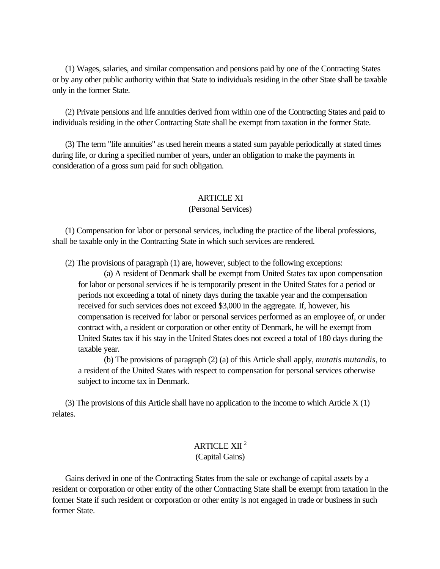<span id="page-10-0"></span> (1) Wages, salaries, and similar compensation and pensions paid by one of the Contracting States or by any other public authority within that State to individuals residing in the other State shall be taxable only in the former State.

 (2) Private pensions and life annuities derived from within one of the Contracting States and paid to individuals residing in the other Contracting State shall be exempt from taxation in the former State.

 (3) The term "life annuities" as used herein means a stated sum payable periodically at stated times during life, or during a specified number of years, under an obligation to make the payments in consideration of a gross sum paid for such obligation.

# ARTICLE XI

## (Personal Services)

 (1) Compensation for labor or personal services, including the practice of the liberal professions, shall be taxable only in the Contracting State in which such services are rendered.

(2) The provisions of paragraph (1) are, however, subject to the following exceptions:

(a) A resident of Denmark shall be exempt from United States tax upon compensation for labor or personal services if he is temporarily present in the United States for a period or periods not exceeding a total of ninety days during the taxable year and the compensation received for such services does not exceed \$3,000 in the aggregate. If, however, his compensation is received for labor or personal services performed as an employee of, or under contract with, a resident or corporation or other entity of Denmark, he will he exempt from United States tax if his stay in the United States does not exceed a total of 180 days during the taxable year.

(b) The provisions of paragraph (2) (a) of this Article shall apply, *mutatis mutandis*, to a resident of the United States with respect to compensation for personal services otherwise subject to income tax in Denmark.

 (3) The provisions of this Article shall have no application to the income to which Article X (1) relates.

# ARTICLE XII <sup>2</sup> (Capital Gains)

 Gains derived in one of the Contracting States from the sale or exchange of capital assets by a resident or corporation or other entity of the other Contracting State shall be exempt from taxation in the former State if such resident or corporation or other entity is not engaged in trade or business in such former State.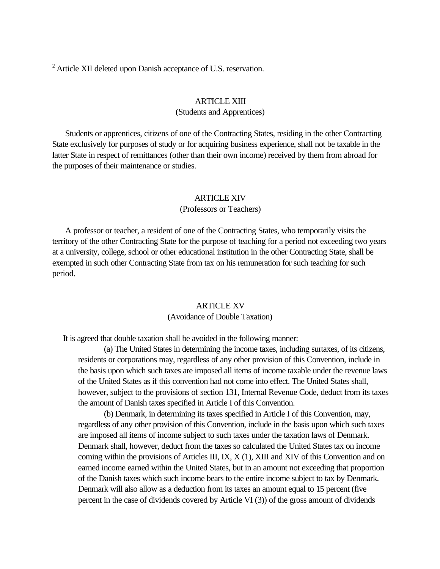<span id="page-11-0"></span><sup>2</sup> Article XII deleted upon Danish acceptance of U.S. reservation.

#### ARTICLE XIII

#### (Students and Apprentices)

 Students or apprentices, citizens of one of the Contracting States, residing in the other Contracting State exclusively for purposes of study or for acquiring business experience, shall not be taxable in the latter State in respect of remittances (other than their own income) received by them from abroad for the purposes of their maintenance or studies.

#### ARTICLE XIV

#### (Professors or Teachers)

 A professor or teacher, a resident of one of the Contracting States, who temporarily visits the territory of the other Contracting State for the purpose of teaching for a period not exceeding two years at a university, college, school or other educational institution in the other Contracting State, shall be exempted in such other Contracting State from tax on his remuneration for such teaching for such period.

## ARTICLE XV (Avoidance of Double Taxation)

It is agreed that double taxation shall be avoided in the following manner:

(a) The United States in determining the income taxes, including surtaxes, of its citizens, residents or corporations may, regardless of any other provision of this Convention, include in the basis upon which such taxes are imposed all items of income taxable under the revenue laws of the United States as if this convention had not come into effect. The United States shall, however, subject to the provisions of section 131, Internal Revenue Code, deduct from its taxes the amount of Danish taxes specified in Article I of this Convention.

(b) Denmark, in determining its taxes specified in Article I of this Convention, may, regardless of any other provision of this Convention, include in the basis upon which such taxes are imposed all items of income subject to such taxes under the taxation laws of Denmark. Denmark shall, however, deduct from the taxes so calculated the United States tax on income coming within the provisions of Articles III, IX, X (1), XIII and XIV of this Convention and on earned income earned within the United States, but in an amount not exceeding that proportion of the Danish taxes which such income bears to the entire income subject to tax by Denmark. Denmark will also allow as a deduction from its taxes an amount equal to 15 percent (five percent in the case of dividends covered by Article VI (3)) of the gross amount of dividends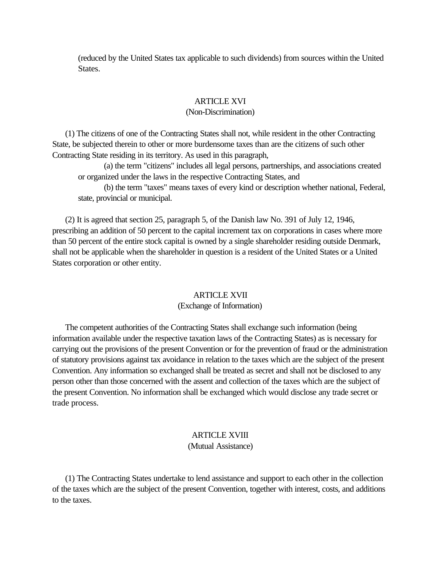<span id="page-12-0"></span>(reduced by the United States tax applicable to such dividends) from sources within the United States.

#### **ARTICLE XVI**

#### (Non-Discrimination)

 (1) The citizens of one of the Contracting States shall not, while resident in the other Contracting State, be subjected therein to other or more burdensome taxes than are the citizens of such other Contracting State residing in its territory. As used in this paragraph,

(a) the term "citizens" includes all legal persons, partnerships, and associations created or organized under the laws in the respective Contracting States, and

(b) the term "taxes" means taxes of every kind or description whether national, Federal, state, provincial or municipal.

 (2) It is agreed that section 25, paragraph 5, of the Danish law No. 391 of July 12, 1946, prescribing an addition of 50 percent to the capital increment tax on corporations in cases where more than 50 percent of the entire stock capital is owned by a single shareholder residing outside Denmark, shall not be applicable when the shareholder in question is a resident of the United States or a United States corporation or other entity.

#### ARTICLE XVII

## (Exchange of Information)

 The competent authorities of the Contracting States shall exchange such information (being information available under the respective taxation laws of the Contracting States) as is necessary for carrying out the provisions of the present Convention or for the prevention of fraud or the administration of statutory provisions against tax avoidance in relation to the taxes which are the subject of the present Convention. Any information so exchanged shall be treated as secret and shall not be disclosed to any person other than those concerned with the assent and collection of the taxes which are the subject of the present Convention. No information shall be exchanged which would disclose any trade secret or trade process.

# ARTICLE XVIII

(Mutual Assistance)

 (1) The Contracting States undertake to lend assistance and support to each other in the collection of the taxes which are the subject of the present Convention, together with interest, costs, and additions to the taxes.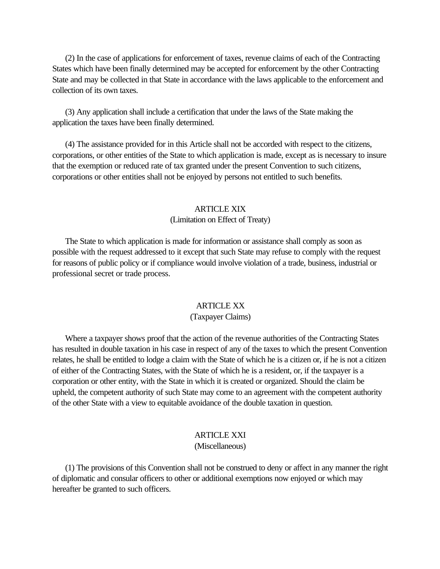<span id="page-13-0"></span> (2) In the case of applications for enforcement of taxes, revenue claims of each of the Contracting States which have been finally determined may be accepted for enforcement by the other Contracting State and may be collected in that State in accordance with the laws applicable to the enforcement and collection of its own taxes.

 (3) Any application shall include a certification that under the laws of the State making the application the taxes have been finally determined.

 (4) The assistance provided for in this Article shall not be accorded with respect to the citizens, corporations, or other entities of the State to which application is made, except as is necessary to insure that the exemption or reduced rate of tax granted under the present Convention to such citizens, corporations or other entities shall not be enjoyed by persons not entitled to such benefits.

#### ARTICLE XIX

#### (Limitation on Effect of Treaty)

 The State to which application is made for information or assistance shall comply as soon as possible with the request addressed to it except that such State may refuse to comply with the request for reasons of public policy or if compliance would involve violation of a trade, business, industrial or professional secret or trade process.

## ARTICLE XX

## (Taxpayer Claims)

 Where a taxpayer shows proof that the action of the revenue authorities of the Contracting States has resulted in double taxation in his case in respect of any of the taxes to which the present Convention relates, he shall be entitled to lodge a claim with the State of which he is a citizen or, if he is not a citizen of either of the Contracting States, with the State of which he is a resident, or, if the taxpayer is a corporation or other entity, with the State in which it is created or organized. Should the claim be upheld, the competent authority of such State may come to an agreement with the competent authority of the other State with a view to equitable avoidance of the double taxation in question.

# ARTICLE XXI

# (Miscellaneous)

 (1) The provisions of this Convention shall not be construed to deny or affect in any manner the right of diplomatic and consular officers to other or additional exemptions now enjoyed or which may hereafter be granted to such officers.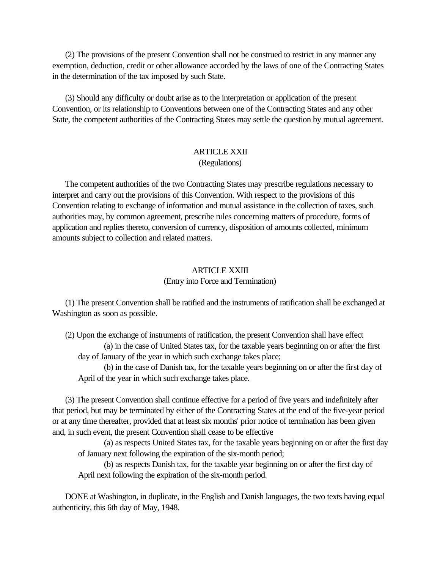<span id="page-14-0"></span> (2) The provisions of the present Convention shall not be construed to restrict in any manner any exemption, deduction, credit or other allowance accorded by the laws of one of the Contracting States in the determination of the tax imposed by such State.

 (3) Should any difficulty or doubt arise as to the interpretation or application of the present Convention, or its relationship to Conventions between one of the Contracting States and any other State, the competent authorities of the Contracting States may settle the question by mutual agreement.

# ARTICLE XXII (Regulations)

 The competent authorities of the two Contracting States may prescribe regulations necessary to interpret and carry out the provisions of this Convention. With respect to the provisions of this Convention relating to exchange of information and mutual assistance in the collection of taxes, such authorities may, by common agreement, prescribe rules concerning matters of procedure, forms of application and replies thereto, conversion of currency, disposition of amounts collected, minimum amounts subject to collection and related matters.

# ARTICLE XXIII (Entry into Force and Termination)

 (1) The present Convention shall be ratified and the instruments of ratification shall be exchanged at Washington as soon as possible.

 (2) Upon the exchange of instruments of ratification, the present Convention shall have effect (a) in the case of United States tax, for the taxable years beginning on or after the first day of January of the year in which such exchange takes place;

(b) in the case of Danish tax, for the taxable years beginning on or after the first day of April of the year in which such exchange takes place.

 (3) The present Convention shall continue effective for a period of five years and indefinitely after that period, but may be terminated by either of the Contracting States at the end of the five-year period or at any time thereafter, provided that at least six months' prior notice of termination has been given and, in such event, the present Convention shall cease to be effective

(a) as respects United States tax, for the taxable years beginning on or after the first day of January next following the expiration of the six-month period;

(b) as respects Danish tax, for the taxable year beginning on or after the first day of April next following the expiration of the six-month period.

 DONE at Washington, in duplicate, in the English and Danish languages, the two texts having equal authenticity, this 6th day of May, 1948.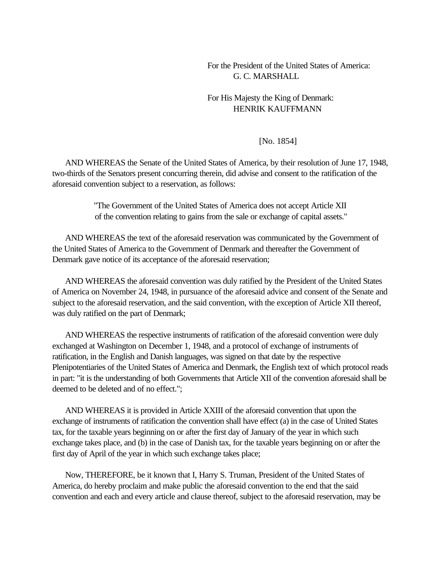# For the President of the United States of America: G. C. MARSHALL

# For His Majesty the King of Denmark: HENRIK KAUFFMANN

## [No. 1854]

 AND WHEREAS the Senate of the United States of America, by their resolution of June 17, 1948, two-thirds of the Senators present concurring therein, did advise and consent to the ratification of the aforesaid convention subject to a reservation, as follows:

> "The Government of the United States of America does not accept Article XII of the convention relating to gains from the sale or exchange of capital assets."

 AND WHEREAS the text of the aforesaid reservation was communicated by the Government of the United States of America to the Government of Denmark and thereafter the Government of Denmark gave notice of its acceptance of the aforesaid reservation;

 AND WHEREAS the aforesaid convention was duly ratified by the President of the United States of America on November 24, 1948, in pursuance of the aforesaid advice and consent of the Senate and subject to the aforesaid reservation, and the said convention, with the exception of Article XII thereof, was duly ratified on the part of Denmark;

 AND WHEREAS the respective instruments of ratification of the aforesaid convention were duly exchanged at Washington on December 1, 1948, and a protocol of exchange of instruments of ratification, in the English and Danish languages, was signed on that date by the respective Plenipotentiaries of the United States of America and Denmark, the English text of which protocol reads in part: "it is the understanding of both Governments that Article XII of the convention aforesaid shall be deemed to be deleted and of no effect.";

 AND WHEREAS it is provided in Article XXIII of the aforesaid convention that upon the exchange of instruments of ratification the convention shall have effect (a) in the case of United States tax, for the taxable years beginning on or after the first day of January of the year in which such exchange takes place, and (b) in the case of Danish tax, for the taxable years beginning on or after the first day of April of the year in which such exchange takes place;

 Now, THEREFORE, be it known that I, Harry S. Truman, President of the United States of America, do hereby proclaim and make public the aforesaid convention to the end that the said convention and each and every article and clause thereof, subject to the aforesaid reservation, may be